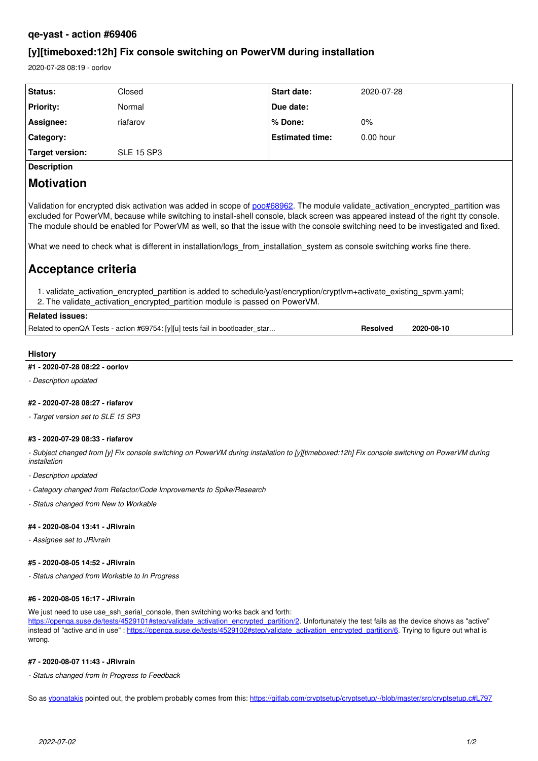# **qe-yast - action #69406**

# **[y][timeboxed:12h] Fix console switching on PowerVM during installation**

2020-07-28 08:19 - oorlov

| Status:                | Closed            | <b>Start date:</b>     | 2020-07-28  |
|------------------------|-------------------|------------------------|-------------|
| <b>Priority:</b>       | Normal            | Due date:              |             |
| Assignee:              | riafarov          | l% Done:               | $0\%$       |
| Category:              |                   | <b>Estimated time:</b> | $0.00$ hour |
| <b>Target version:</b> | <b>SLE 15 SP3</b> |                        |             |
|                        |                   |                        |             |

**Description**

# **Motivation**

Validation for encrypted disk activation was added in scope of [poo#68962](https://progress.opensuse.org/issues/68962). The module validate activation encrypted partition was excluded for PowerVM, because while switching to install-shell console, black screen was appeared instead of the right tty console. The module should be enabled for PowerVM as well, so that the issue with the console switching need to be investigated and fixed.

What we need to check what is different in installation/logs from installation system as console switching works fine there.

# **Acceptance criteria**

1. validate\_activation\_encrypted\_partition is added to schedule/yast/encryption/cryptlvm+activate\_existing\_spvm.yaml; 2. The validate\_activation\_encrypted\_partition module is passed on PowerVM.

# **Related issues:**

Related to openQA Tests - action #69754: [y][u] tests fail in bootloader\_star... **Resolved 2020-08-10**

# **History**

#### **#1 - 2020-07-28 08:22 - oorlov**

*- Description updated*

# **#2 - 2020-07-28 08:27 - riafarov**

*- Target version set to SLE 15 SP3*

# **#3 - 2020-07-29 08:33 - riafarov**

*- Subject changed from [y] Fix console switching on PowerVM during installation to [y][timeboxed:12h] Fix console switching on PowerVM during installation*

- *Description updated*
- *Category changed from Refactor/Code Improvements to Spike/Research*
- *Status changed from New to Workable*

#### **#4 - 2020-08-04 13:41 - JRivrain**

*- Assignee set to JRivrain*

#### **#5 - 2020-08-05 14:52 - JRivrain**

*- Status changed from Workable to In Progress*

## **#6 - 2020-08-05 16:17 - JRivrain**

We just need to use use\_ssh\_serial\_console, then switching works back and forth:

[https://openqa.suse.de/tests/4529101#step/validate\\_activation\\_encrypted\\_partition/2](https://openqa.suse.de/tests/4529101#step/validate_activation_encrypted_partition/2). Unfortunately the test fails as the device shows as "active" instead of "active and in use" : [https://openqa.suse.de/tests/4529102#step/validate\\_activation\\_encrypted\\_partition/6.](https://openqa.suse.de/tests/4529102#step/validate_activation_encrypted_partition/6) Trying to figure out what is wrong.

# **#7 - 2020-08-07 11:43 - JRivrain**

*- Status changed from In Progress to Feedback*

So as [ybonatakis](progress.opensuse.org/users/32492) pointed out, the problem probably comes from this: <https://gitlab.com/cryptsetup/cryptsetup/-/blob/master/src/cryptsetup.c#L797>